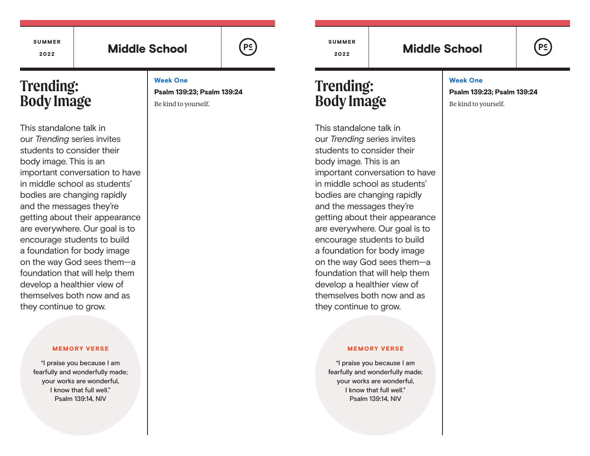#### SUMMER 2022

# Middle School  $(\begin{array}{ccc} \vert & \frac{p_c}{p_c} \end{array})$  3022 Middle School

SUMMER

# **Trending: Body Image**

This standalone talk in our *Trending* series invites students to consider their body image. This is an important conversation to have in middle school as students' bodies are changing rapidly and the messages they're getting about their appearance are everywhere. Our goal is to encourage students to build a foundation for body image on the way God sees them—a foundation that will help them develop a healthier view of themselves both now and as they continue to grow.

#### MEMORY VERSE

"I praise you because I am fearfully and wonderfully made; your works are wonderful, I know that full well." Psalm 139:14, NIV

Week One Psalm 139:23; Psalm 139:24 Be kind to yourself.

**Trending: Body Image**

This standalone talk in our *Trending* series invites students to consider their body image. This is an important conversation to have in middle school as students' bodies are changing rapidly and the messages they're getting about their appearance are everywhere. Our goal is to encourage students to build a foundation for body image on the way God sees them—a foundation that will help them develop a healthier view of themselves both now and as they continue to grow.

#### MEMORY VERSE

"I praise you because I am fearfully and wonderfully made; your works are wonderful, I know that full well." Psalm 139:14, NIV

### Week One

Psalm 139:23; Psalm 139:24

Be kind to yourself.